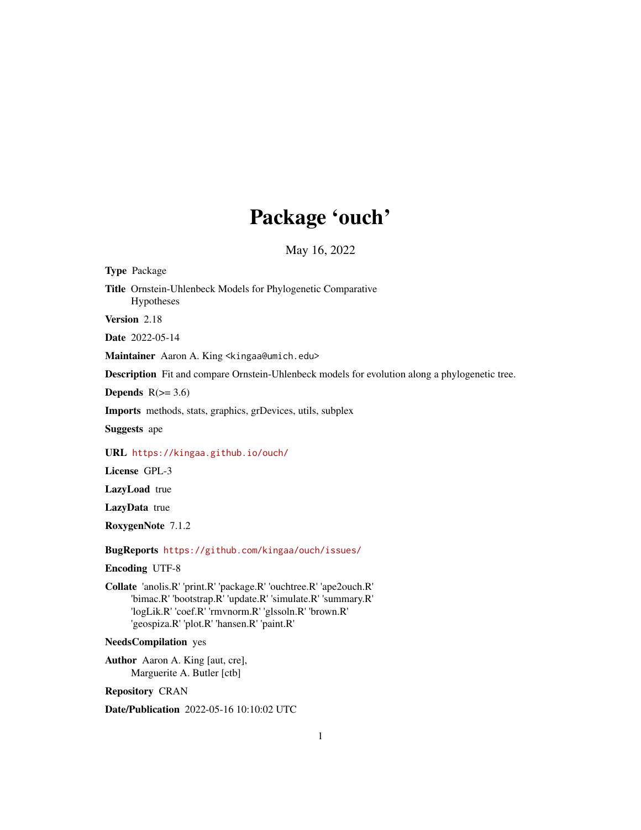# Package 'ouch'

May 16, 2022

<span id="page-0-0"></span>Type Package Title Ornstein-Uhlenbeck Models for Phylogenetic Comparative Hypotheses Version 2.18 Date 2022-05-14 Maintainer Aaron A. King <kingaa@umich.edu> Description Fit and compare Ornstein-Uhlenbeck models for evolution along a phylogenetic tree. Depends  $R(>= 3.6)$ Imports methods, stats, graphics, grDevices, utils, subplex Suggests ape URL <https://kingaa.github.io/ouch/> License GPL-3 LazyLoad true LazyData true RoxygenNote 7.1.2 BugReports <https://github.com/kingaa/ouch/issues/> Encoding UTF-8 Collate 'anolis.R' 'print.R' 'package.R' 'ouchtree.R' 'ape2ouch.R' 'bimac.R' 'bootstrap.R' 'update.R' 'simulate.R' 'summary.R' 'logLik.R' 'coef.R' 'rmvnorm.R' 'glssoln.R' 'brown.R' 'geospiza.R' 'plot.R' 'hansen.R' 'paint.R' NeedsCompilation yes Author Aaron A. King [aut, cre], Marguerite A. Butler [ctb] Repository CRAN

Date/Publication 2022-05-16 10:10:02 UTC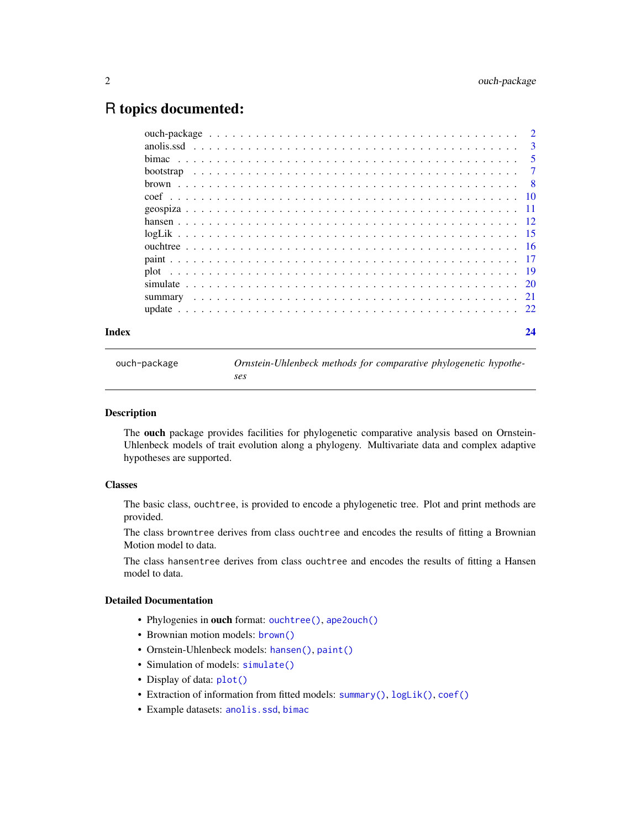# <span id="page-1-0"></span>R topics documented:

| Index |  |  |  |  |  |  |  |  |  |  |  |  |  |  | 24 |
|-------|--|--|--|--|--|--|--|--|--|--|--|--|--|--|----|
|       |  |  |  |  |  |  |  |  |  |  |  |  |  |  |    |
|       |  |  |  |  |  |  |  |  |  |  |  |  |  |  |    |
|       |  |  |  |  |  |  |  |  |  |  |  |  |  |  |    |
|       |  |  |  |  |  |  |  |  |  |  |  |  |  |  |    |
|       |  |  |  |  |  |  |  |  |  |  |  |  |  |  |    |
|       |  |  |  |  |  |  |  |  |  |  |  |  |  |  |    |
|       |  |  |  |  |  |  |  |  |  |  |  |  |  |  |    |
|       |  |  |  |  |  |  |  |  |  |  |  |  |  |  |    |
|       |  |  |  |  |  |  |  |  |  |  |  |  |  |  |    |
|       |  |  |  |  |  |  |  |  |  |  |  |  |  |  |    |
|       |  |  |  |  |  |  |  |  |  |  |  |  |  |  |    |
|       |  |  |  |  |  |  |  |  |  |  |  |  |  |  |    |
|       |  |  |  |  |  |  |  |  |  |  |  |  |  |  |    |
|       |  |  |  |  |  |  |  |  |  |  |  |  |  |  |    |
|       |  |  |  |  |  |  |  |  |  |  |  |  |  |  |    |

<span id="page-1-1"></span>ouch-package *Ornstein-Uhlenbeck methods for comparative phylogenetic hypotheses*

#### Description

The ouch package provides facilities for phylogenetic comparative analysis based on Ornstein-Uhlenbeck models of trait evolution along a phylogeny. Multivariate data and complex adaptive hypotheses are supported.

# Classes

The basic class, ouchtree, is provided to encode a phylogenetic tree. Plot and print methods are provided.

The class browntree derives from class ouchtree and encodes the results of fitting a Brownian Motion model to data.

The class hansentree derives from class ouchtree and encodes the results of fitting a Hansen model to data.

# Detailed Documentation

- Phylogenies in ouch format: [ouchtree\(\)](#page-15-1), [ape2ouch\(\)](#page-15-2)
- Brownian motion models: [brown\(\)](#page-7-1)
- Ornstein-Uhlenbeck models: [hansen\(\)](#page-11-1), [paint\(\)](#page-16-1)
- Simulation of models: [simulate\(\)](#page-19-1)
- Display of data:  $plot()$
- Extraction of information from fitted models: [summary\(\)](#page-20-1), [logLik\(\)](#page-14-1), [coef\(\)](#page-9-1)
- Example datasets: [anolis.ssd](#page-2-1), [bimac](#page-4-1)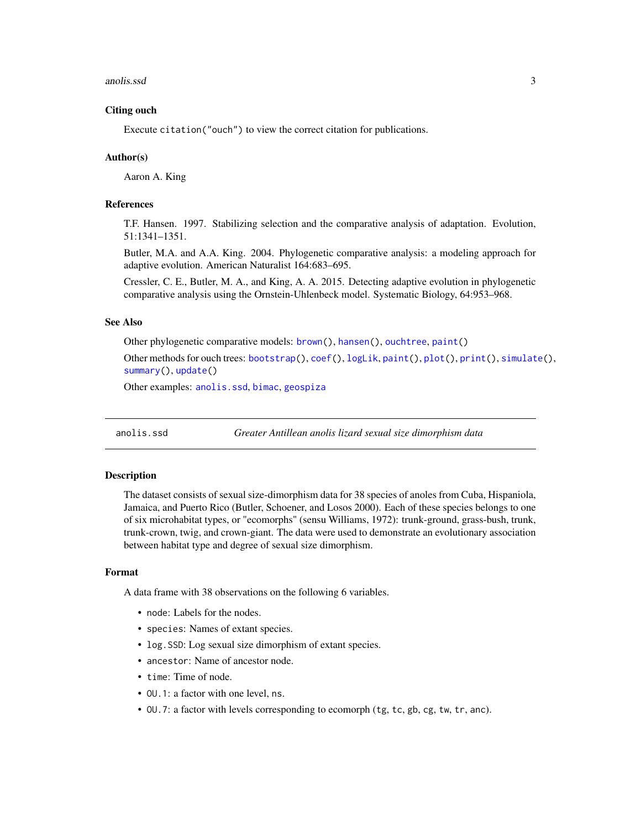#### <span id="page-2-0"></span>anolis.ssd 3

# Citing ouch

Execute citation("ouch") to view the correct citation for publications.

#### Author(s)

Aaron A. King

#### References

T.F. Hansen. 1997. Stabilizing selection and the comparative analysis of adaptation. Evolution, 51:1341–1351.

Butler, M.A. and A.A. King. 2004. Phylogenetic comparative analysis: a modeling approach for adaptive evolution. American Naturalist 164:683–695.

Cressler, C. E., Butler, M. A., and King, A. A. 2015. Detecting adaptive evolution in phylogenetic comparative analysis using the Ornstein-Uhlenbeck model. Systematic Biology, 64:953–968.

# See Also

Other phylogenetic comparative models: [brown\(](#page-7-1)), [hansen\(](#page-11-1)), [ouchtree](#page-15-1), [paint\(](#page-16-1))

Other methods for ouch trees: [bootstrap\(](#page-6-1)), [coef\(](#page-9-1)), [logLik](#page-14-1), [paint\(](#page-16-1)), [plot\(](#page-18-1)), [print\(](#page-0-0)), [simulate\(](#page-19-1)), [summary\(](#page-20-1)), [update\(](#page-21-1))

Other examples: [anolis.ssd](#page-2-1), [bimac](#page-4-1), [geospiza](#page-10-1)

<span id="page-2-1"></span>anolis.ssd *Greater Antillean anolis lizard sexual size dimorphism data*

#### **Description**

The dataset consists of sexual size-dimorphism data for 38 species of anoles from Cuba, Hispaniola, Jamaica, and Puerto Rico (Butler, Schoener, and Losos 2000). Each of these species belongs to one of six microhabitat types, or "ecomorphs" (sensu Williams, 1972): trunk-ground, grass-bush, trunk, trunk-crown, twig, and crown-giant. The data were used to demonstrate an evolutionary association between habitat type and degree of sexual size dimorphism.

#### Format

A data frame with 38 observations on the following 6 variables.

- node: Labels for the nodes.
- species: Names of extant species.
- log.SSD: Log sexual size dimorphism of extant species.
- ancestor: Name of ancestor node.
- time: Time of node.
- OU.1: a factor with one level, ns.
- OU.7: a factor with levels corresponding to ecomorph (tg, tc, gb, cg, tw, tr, anc).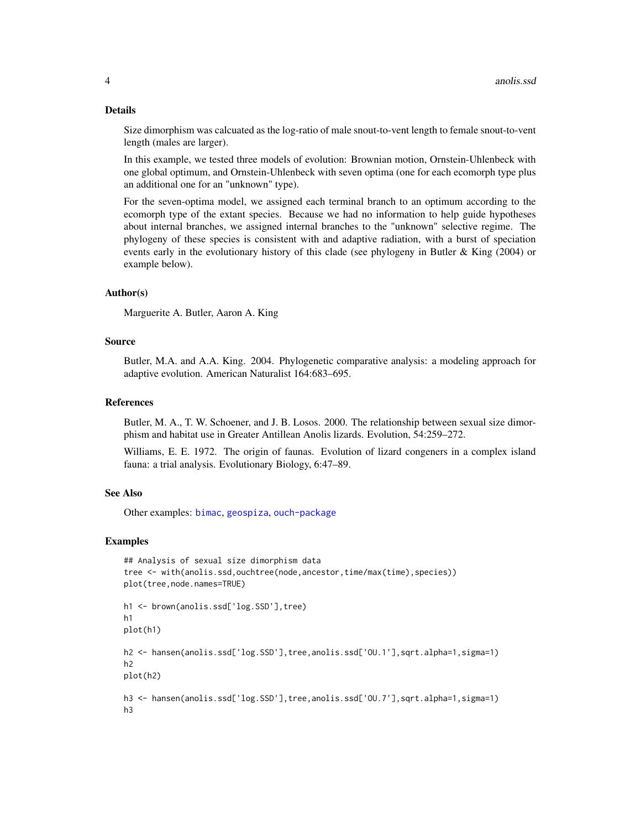#### <span id="page-3-0"></span>Details

Size dimorphism was calcuated as the log-ratio of male snout-to-vent length to female snout-to-vent length (males are larger).

In this example, we tested three models of evolution: Brownian motion, Ornstein-Uhlenbeck with one global optimum, and Ornstein-Uhlenbeck with seven optima (one for each ecomorph type plus an additional one for an "unknown" type).

For the seven-optima model, we assigned each terminal branch to an optimum according to the ecomorph type of the extant species. Because we had no information to help guide hypotheses about internal branches, we assigned internal branches to the "unknown" selective regime. The phylogeny of these species is consistent with and adaptive radiation, with a burst of speciation events early in the evolutionary history of this clade (see phylogeny in Butler & King (2004) or example below).

# Author(s)

Marguerite A. Butler, Aaron A. King

# Source

Butler, M.A. and A.A. King. 2004. Phylogenetic comparative analysis: a modeling approach for adaptive evolution. American Naturalist 164:683–695.

# References

Butler, M. A., T. W. Schoener, and J. B. Losos. 2000. The relationship between sexual size dimorphism and habitat use in Greater Antillean Anolis lizards. Evolution, 54:259–272.

Williams, E. E. 1972. The origin of faunas. Evolution of lizard congeners in a complex island fauna: a trial analysis. Evolutionary Biology, 6:47–89.

#### See Also

Other examples: [bimac](#page-4-1), [geospiza](#page-10-1), [ouch-package](#page-1-1)

```
## Analysis of sexual size dimorphism data
tree <- with(anolis.ssd,ouchtree(node,ancestor,time/max(time),species))
plot(tree,node.names=TRUE)
h1 <- brown(anolis.ssd['log.SSD'],tree)
h1
plot(h1)
h2 <- hansen(anolis.ssd['log.SSD'],tree,anolis.ssd['OU.1'],sqrt.alpha=1,sigma=1)
h2
plot(h2)
h3 <- hansen(anolis.ssd['log.SSD'],tree,anolis.ssd['OU.7'],sqrt.alpha=1,sigma=1)
h3
```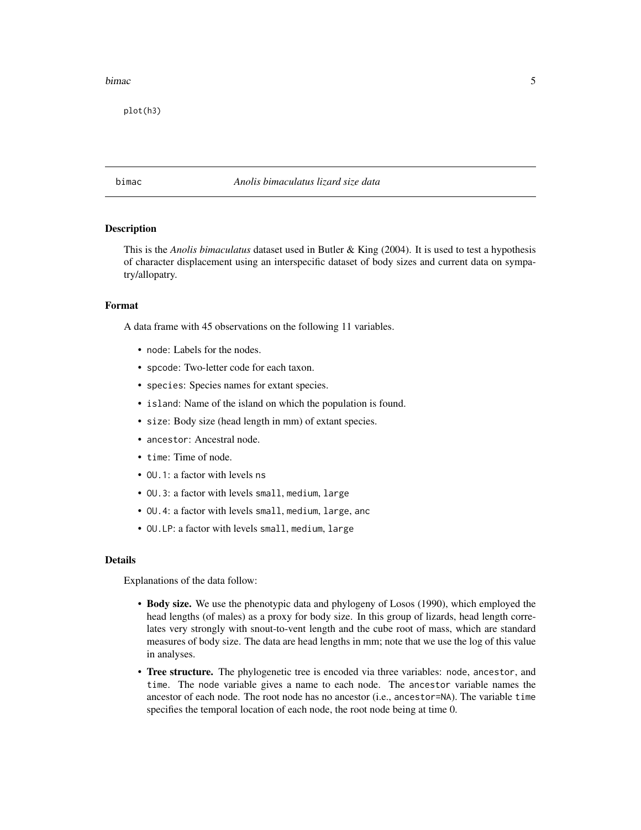#### <span id="page-4-0"></span>bimac 5 and 5 and 5 and 5 and 5 and 5 and 5 and 5 and 5 and 5 and 5 and 5 and 5 and 5 and 5 and 5 and 5 and 5 and 5 and 5 and 5 and 5 and 5 and 5 and 5 and 5 and 5 and 5 and 5 and 5 and 5 and 5 and 5 and 5 and 5 and 5 and

plot(h3)

# <span id="page-4-1"></span>bimac *Anolis bimaculatus lizard size data*

# Description

This is the *Anolis bimaculatus* dataset used in Butler & King (2004). It is used to test a hypothesis of character displacement using an interspecific dataset of body sizes and current data on sympatry/allopatry.

# Format

A data frame with 45 observations on the following 11 variables.

- node: Labels for the nodes.
- spcode: Two-letter code for each taxon.
- species: Species names for extant species.
- island: Name of the island on which the population is found.
- size: Body size (head length in mm) of extant species.
- ancestor: Ancestral node.
- time: Time of node.
- OU.1: a factor with levels ns
- OU.3: a factor with levels small, medium, large
- OU.4: a factor with levels small, medium, large, anc
- OU.LP: a factor with levels small, medium, large

# Details

Explanations of the data follow:

- Body size. We use the phenotypic data and phylogeny of Losos (1990), which employed the head lengths (of males) as a proxy for body size. In this group of lizards, head length correlates very strongly with snout-to-vent length and the cube root of mass, which are standard measures of body size. The data are head lengths in mm; note that we use the log of this value in analyses.
- Tree structure. The phylogenetic tree is encoded via three variables: node, ancestor, and time. The node variable gives a name to each node. The ancestor variable names the ancestor of each node. The root node has no ancestor (i.e., ancestor=NA). The variable time specifies the temporal location of each node, the root node being at time 0.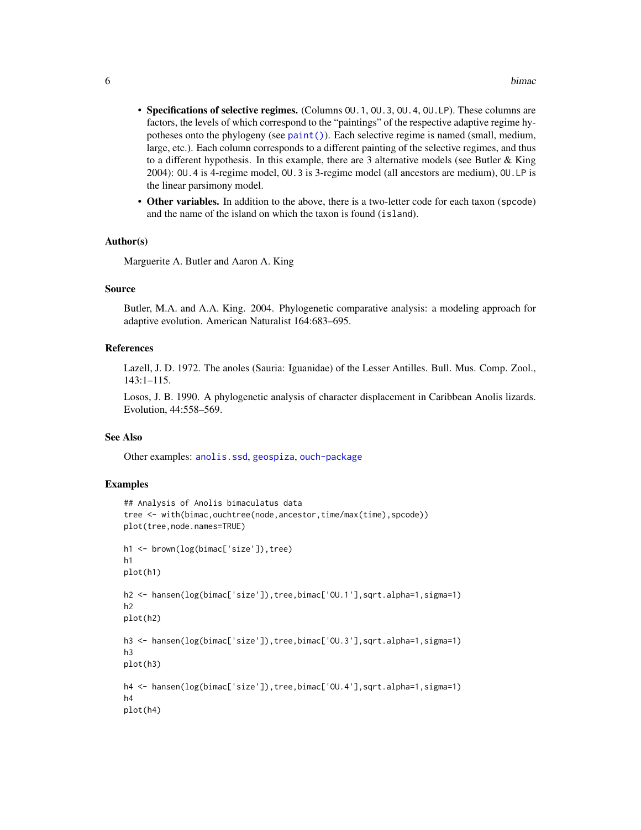- <span id="page-5-0"></span>• Specifications of selective regimes. (Columns OU.1, OU.3, OU.4, OU.LP). These columns are factors, the levels of which correspond to the "paintings" of the respective adaptive regime hypotheses onto the phylogeny (see [paint\(\)](#page-16-1)). Each selective regime is named (small, medium, large, etc.). Each column corresponds to a different painting of the selective regimes, and thus to a different hypothesis. In this example, there are 3 alternative models (see Butler  $\&$  King 2004): OU.4 is 4-regime model, OU.3 is 3-regime model (all ancestors are medium), OU.LP is the linear parsimony model.
- Other variables. In addition to the above, there is a two-letter code for each taxon (spcode) and the name of the island on which the taxon is found (island).

#### Author(s)

Marguerite A. Butler and Aaron A. King

#### Source

Butler, M.A. and A.A. King. 2004. Phylogenetic comparative analysis: a modeling approach for adaptive evolution. American Naturalist 164:683–695.

#### References

Lazell, J. D. 1972. The anoles (Sauria: Iguanidae) of the Lesser Antilles. Bull. Mus. Comp. Zool., 143:1–115.

Losos, J. B. 1990. A phylogenetic analysis of character displacement in Caribbean Anolis lizards. Evolution, 44:558–569.

# See Also

Other examples: [anolis.ssd](#page-2-1), [geospiza](#page-10-1), [ouch-package](#page-1-1)

```
## Analysis of Anolis bimaculatus data
tree <- with(bimac,ouchtree(node,ancestor,time/max(time),spcode))
plot(tree,node.names=TRUE)
h1 <- brown(log(bimac['size']),tree)
h1
plot(h1)
h2 <- hansen(log(bimac['size']),tree,bimac['OU.1'],sqrt.alpha=1,sigma=1)
h2
plot(h2)
h3 <- hansen(log(bimac['size']), tree, bimac['OU.3'], sqrt.alpha=1, sigma=1)
h3
plot(h3)
h4 <- hansen(log(bimac['size']),tree,bimac['OU.4'],sqrt.alpha=1,sigma=1)
h4
plot(h4)
```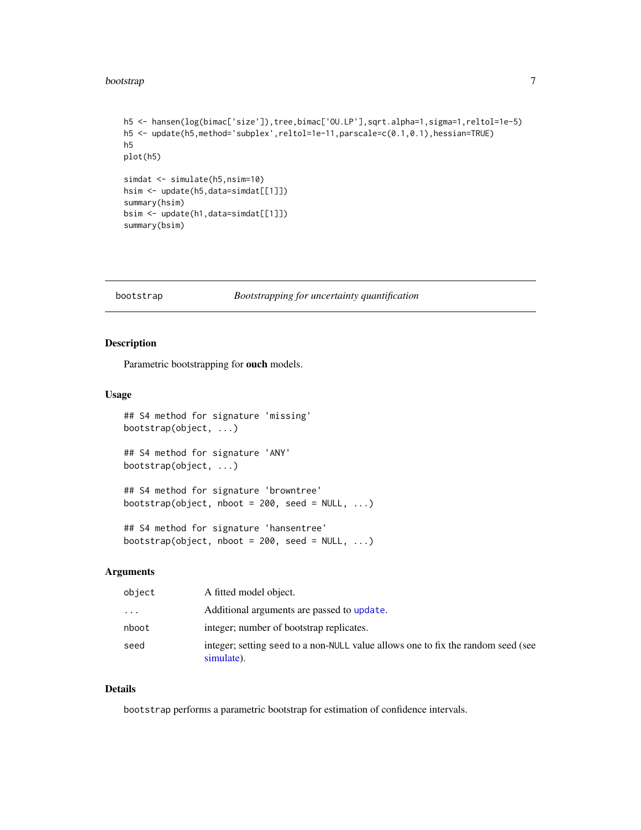#### <span id="page-6-0"></span>bootstrap *7*

```
h5 <- hansen(log(bimac['size']),tree,bimac['OU.LP'],sqrt.alpha=1,sigma=1,reltol=1e-5)
h5 <- update(h5,method='subplex',reltol=1e-11,parscale=c(0.1,0.1),hessian=TRUE)
h5
plot(h5)
simdat <- simulate(h5,nsim=10)
hsim <- update(h5,data=simdat[[1]])
summary(hsim)
bsim <- update(h1,data=simdat[[1]])
summary(bsim)
```
#### <span id="page-6-1"></span>bootstrap *Bootstrapping for uncertainty quantification*

#### Description

Parametric bootstrapping for ouch models.

#### Usage

```
## S4 method for signature 'missing'
bootstrap(object, ...)
## S4 method for signature 'ANY'
bootstrap(object, ...)
## S4 method for signature 'browntree'
bootstrap(object, nboot = 200, seed = NULL, ...)## S4 method for signature 'hansentree'
bootstrap(object, nboot = 200, seed = NULL, ...)
```
# Arguments

| object   | A fitted model object.                                                                         |
|----------|------------------------------------------------------------------------------------------------|
| $\cdots$ | Additional arguments are passed to update.                                                     |
| nboot    | integer; number of bootstrap replicates.                                                       |
| seed     | integer; setting seed to a non-NULL value allows one to fix the random seed (see<br>simulate). |

#### Details

bootstrap performs a parametric bootstrap for estimation of confidence intervals.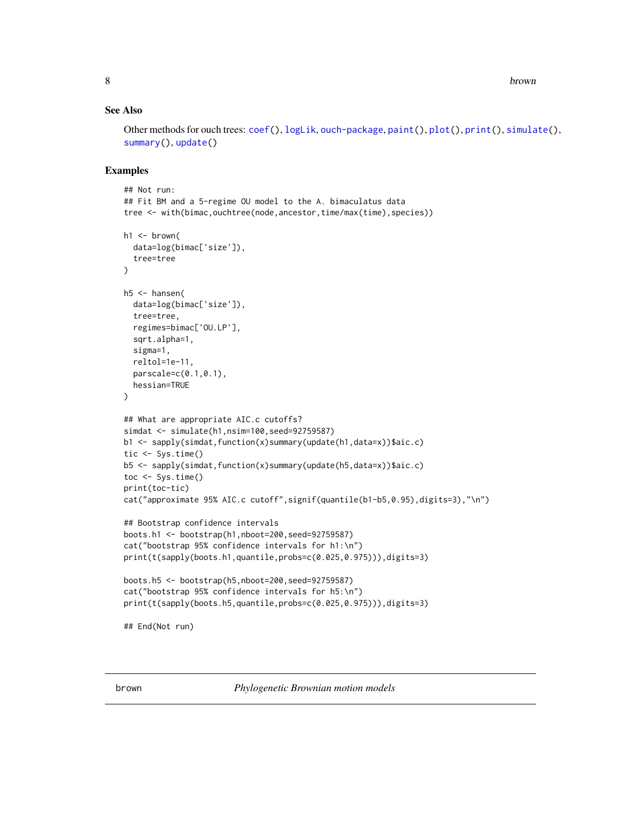# <span id="page-7-0"></span>See Also

Other methods for ouch trees: [coef\(](#page-9-1)), [logLik](#page-14-1), [ouch-package](#page-1-1), [paint\(](#page-16-1)), [plot\(](#page-18-1)), [print\(](#page-0-0)), [simulate\(](#page-19-1)), [summary\(](#page-20-1)), [update\(](#page-21-1))

# Examples

```
## Not run:
## Fit BM and a 5-regime OU model to the A. bimaculatus data
tree <- with(bimac,ouchtree(node,ancestor,time/max(time),species))
h1 \leftarrow brown(
  data=log(bimac['size']),
  tree=tree
)
h5 <- hansen(
  data=log(bimac['size']),
  tree=tree,
  regimes=bimac['OU.LP'],
  sqrt.alpha=1,
  sigma=1,
  reltol=1e-11,
  parscale=c(0.1,0.1),
  hessian=TRUE
\mathcal{L}## What are appropriate AIC.c cutoffs?
simdat <- simulate(h1,nsim=100,seed=92759587)
b1 <- sapply(simdat,function(x)summary(update(h1,data=x))$aic.c)
tic <- Sys.time()
b5 <- sapply(simdat,function(x)summary(update(h5,data=x))$aic.c)
toc <- Sys.time()
print(toc-tic)
cat("approximate 95% AIC.c cutoff",signif(quantile(b1-b5,0.95),digits=3),"\n")
## Bootstrap confidence intervals
boots.h1 <- bootstrap(h1,nboot=200,seed=92759587)
cat("bootstrap 95% confidence intervals for h1:\n")
print(t(sapply(boots.h1,quantile,probs=c(0.025,0.975))),digits=3)
boots.h5 <- bootstrap(h5,nboot=200,seed=92759587)
cat("bootstrap 95% confidence intervals for h5:\n")
print(t(sapply(boots.h5,quantile,probs=c(0.025,0.975))),digits=3)
## End(Not run)
```
<span id="page-7-1"></span>brown *Phylogenetic Brownian motion models*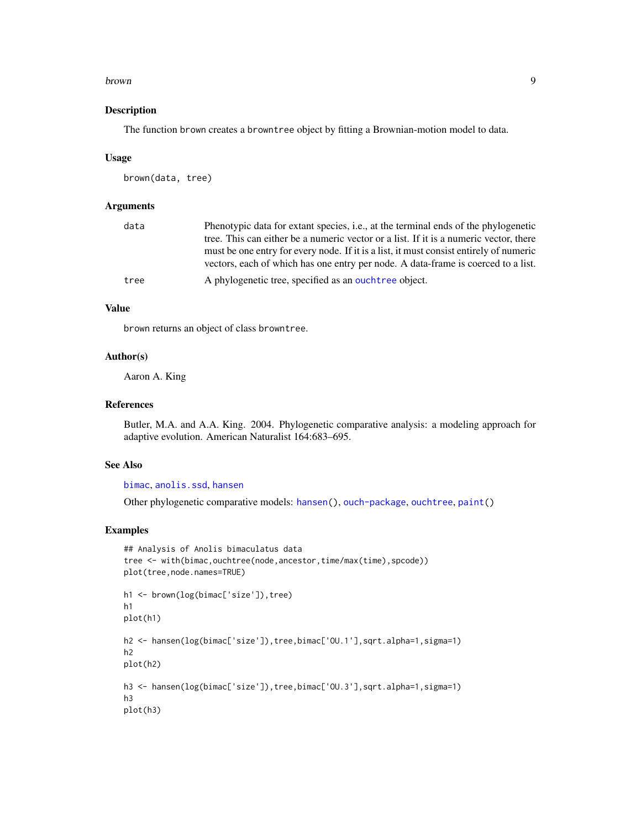#### <span id="page-8-0"></span>brown 9

#### Description

The function brown creates a browntree object by fitting a Brownian-motion model to data.

#### Usage

```
brown(data, tree)
```
# Arguments

| data | Phenotypic data for extant species, <i>i.e.</i> , at the terminal ends of the phylogenetic |
|------|--------------------------------------------------------------------------------------------|
|      | tree. This can either be a numeric vector or a list. If it is a numeric vector, there      |
|      | must be one entry for every node. If it is a list, it must consist entirely of numeric     |
|      | vectors, each of which has one entry per node. A data-frame is coerced to a list.          |
| tree | A phylogenetic tree, specified as an ouchtree object.                                      |

# Value

brown returns an object of class browntree.

#### Author(s)

Aaron A. King

# References

Butler, M.A. and A.A. King. 2004. Phylogenetic comparative analysis: a modeling approach for adaptive evolution. American Naturalist 164:683–695.

#### See Also

# [bimac](#page-4-1), [anolis.ssd](#page-2-1), [hansen](#page-11-1)

Other phylogenetic comparative models: [hansen\(](#page-11-1)), [ouch-package](#page-1-1), [ouchtree](#page-15-1), [paint\(](#page-16-1))

```
## Analysis of Anolis bimaculatus data
tree <- with(bimac, ouchtree(node, ancestor, time/max(time), spcode))
plot(tree,node.names=TRUE)
h1 <- brown(log(bimac['size']), tree)
h1
plot(h1)
h2 <- hansen(log(bimac['size']),tree,bimac['OU.1'],sqrt.alpha=1,sigma=1)
h2
plot(h2)
h3 <- hansen(log(bimac['size']),tree,bimac['OU.3'],sqrt.alpha=1,sigma=1)
h3
plot(h3)
```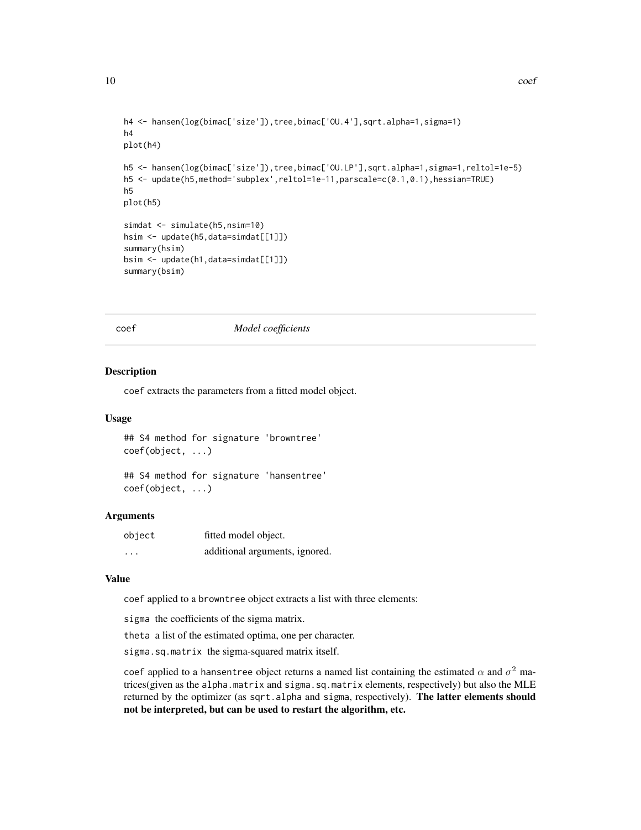```
h4 <- hansen(log(bimac['size']),tree,bimac['OU.4'],sqrt.alpha=1,sigma=1)
h4
plot(h4)
h5 <- hansen(log(bimac['size']),tree,bimac['OU.LP'],sqrt.alpha=1,sigma=1,reltol=1e-5)
h5 <- update(h5,method='subplex',reltol=1e-11,parscale=c(0.1,0.1),hessian=TRUE)
h5
plot(h5)
simdat <- simulate(h5,nsim=10)
hsim <- update(h5,data=simdat[[1]])
summary(hsim)
bsim <- update(h1,data=simdat[[1]])
summary(bsim)
```
#### coef *Model coefficients*

#### Description

coef extracts the parameters from a fitted model object.

#### Usage

```
## S4 method for signature 'browntree'
coef(object, ...)
```

```
## S4 method for signature 'hansentree'
coef(object, ...)
```
#### Arguments

| object                  | fitted model object.           |
|-------------------------|--------------------------------|
| $\cdot$ $\cdot$ $\cdot$ | additional arguments, ignored. |

### Value

coef applied to a browntree object extracts a list with three elements:

sigma the coefficients of the sigma matrix.

theta a list of the estimated optima, one per character.

sigma.sq.matrix the sigma-squared matrix itself.

coef applied to a hansentree object returns a named list containing the estimated  $\alpha$  and  $\sigma^2$  matrices(given as the alpha.matrix and sigma.sq.matrix elements, respectively) but also the MLE returned by the optimizer (as sqrt.alpha and sigma, respectively). The latter elements should not be interpreted, but can be used to restart the algorithm, etc.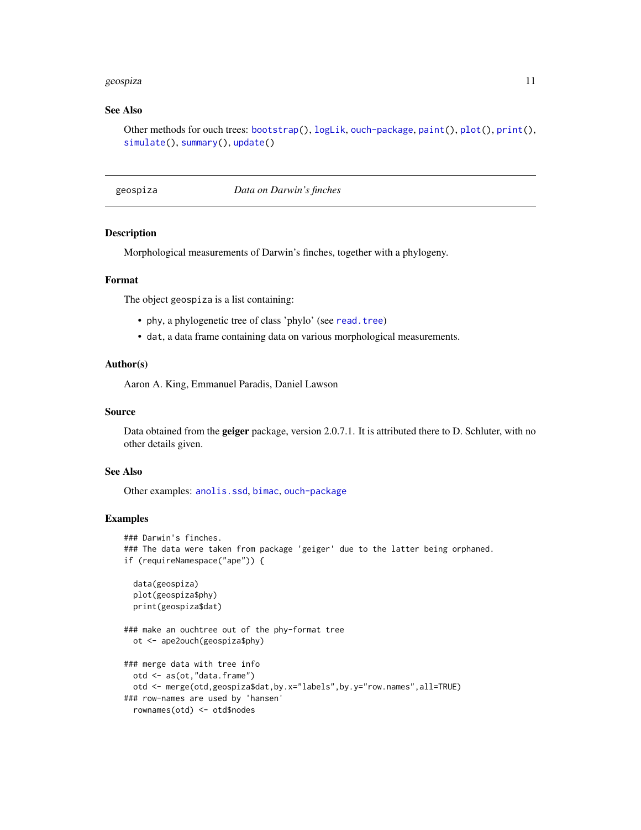#### <span id="page-10-0"></span>geospiza 11

#### See Also

Other methods for ouch trees: [bootstrap\(](#page-6-1)), [logLik](#page-14-1), [ouch-package](#page-1-1), [paint\(](#page-16-1)), [plot\(](#page-18-1)), [print\(](#page-0-0)), [simulate\(](#page-19-1)), [summary\(](#page-20-1)), [update\(](#page-21-1))

<span id="page-10-1"></span>geospiza *Data on Darwin's finches*

#### Description

Morphological measurements of Darwin's finches, together with a phylogeny.

# Format

The object geospiza is a list containing:

- phy, a phylogenetic tree of class 'phylo' (see [read.tree](#page-0-0))
- dat, a data frame containing data on various morphological measurements.

#### Author(s)

Aaron A. King, Emmanuel Paradis, Daniel Lawson

#### Source

Data obtained from the geiger package, version 2.0.7.1. It is attributed there to D. Schluter, with no other details given.

# See Also

Other examples: [anolis.ssd](#page-2-1), [bimac](#page-4-1), [ouch-package](#page-1-1)

```
### Darwin's finches.
### The data were taken from package 'geiger' due to the latter being orphaned.
if (requireNamespace("ape")) {
 data(geospiza)
 plot(geospiza$phy)
 print(geospiza$dat)
### make an ouchtree out of the phy-format tree
 ot <- ape2ouch(geospiza$phy)
### merge data with tree info
 otd <- as(ot,"data.frame")
 otd <- merge(otd,geospiza$dat,by.x="labels",by.y="row.names",all=TRUE)
### row-names are used by 'hansen'
 rownames(otd) <- otd$nodes
```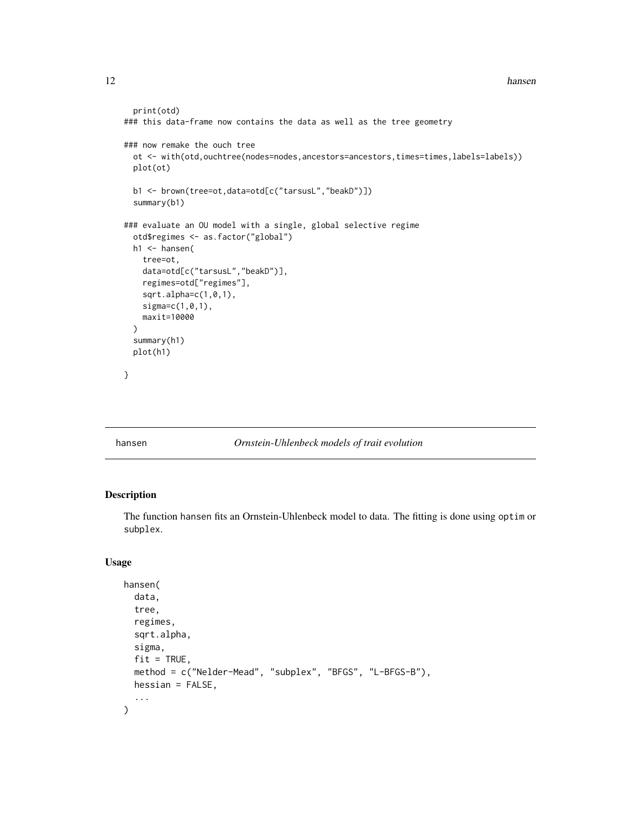#### <span id="page-11-0"></span>12 hansen between the state of the state of the state of the state of the state of the state of the state of the state of the state of the state of the state of the state of the state of the state of the state of the state

```
print(otd)
### this data-frame now contains the data as well as the tree geometry
### now remake the ouch tree
 ot <- with(otd,ouchtree(nodes=nodes,ancestors=ancestors,times=times,labels=labels))
 plot(ot)
 b1 <- brown(tree=ot,data=otd[c("tarsusL","beakD")])
 summary(b1)
### evaluate an OU model with a single, global selective regime
 otd$regimes <- as.factor("global")
 h1 <- hansen(
    tree=ot,
   data=otd[c("tarsusL","beakD")],
   regimes=otd["regimes"],
   sqrt.alpha=c(1,0,1),
   sigma=c(1,0,1),
   maxit=10000
 )
 summary(h1)
 plot(h1)
}
```
### <span id="page-11-1"></span>hansen *Ornstein-Uhlenbeck models of trait evolution*

# Description

The function hansen fits an Ornstein-Uhlenbeck model to data. The fitting is done using optim or subplex.

#### Usage

```
hansen(
  data,
  tree,
  regimes,
  sqrt.alpha,
  sigma,
  fit = TRUE,method = c("Nelder-Mead", "subplex", "BFGS", "L-BFGS-B"),
  hessian = FALSE,
  ...
\mathcal{L}
```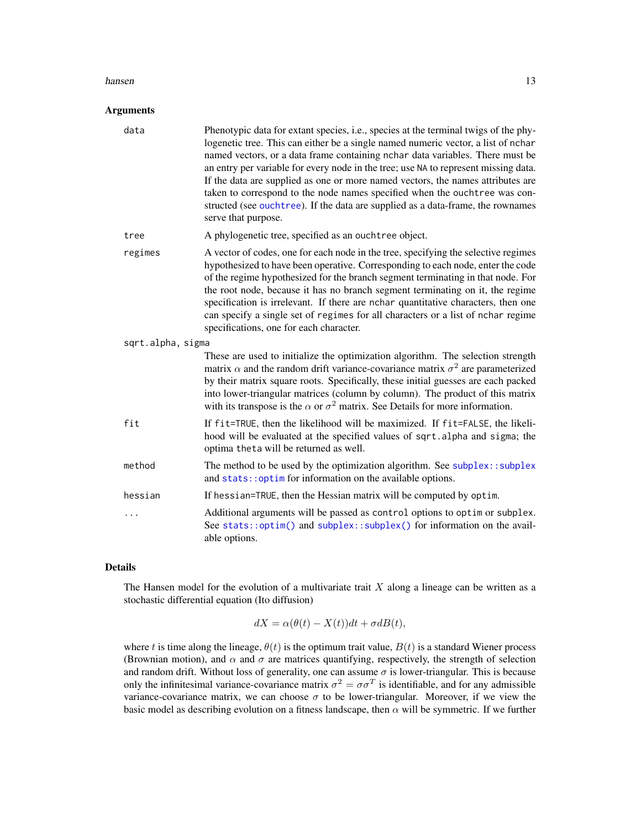#### <span id="page-12-0"></span>hansen and the set of the set of the set of the set of the set of the set of the set of the set of the set of the set of the set of the set of the set of the set of the set of the set of the set of the set of the set of th

#### Arguments

| data              | Phenotypic data for extant species, i.e., species at the terminal twigs of the phy-<br>logenetic tree. This can either be a single named numeric vector, a list of nchar<br>named vectors, or a data frame containing nchar data variables. There must be<br>an entry per variable for every node in the tree; use NA to represent missing data.<br>If the data are supplied as one or more named vectors, the names attributes are<br>taken to correspond to the node names specified when the ouchtree was con-<br>structed (see ouchtree). If the data are supplied as a data-frame, the rownames<br>serve that purpose. |
|-------------------|-----------------------------------------------------------------------------------------------------------------------------------------------------------------------------------------------------------------------------------------------------------------------------------------------------------------------------------------------------------------------------------------------------------------------------------------------------------------------------------------------------------------------------------------------------------------------------------------------------------------------------|
| tree              | A phylogenetic tree, specified as an ouchtree object.                                                                                                                                                                                                                                                                                                                                                                                                                                                                                                                                                                       |
| regimes           | A vector of codes, one for each node in the tree, specifying the selective regimes<br>hypothesized to have been operative. Corresponding to each node, enter the code<br>of the regime hypothesized for the branch segment terminating in that node. For<br>the root node, because it has no branch segment terminating on it, the regime<br>specification is irrelevant. If there are nchar quantitative characters, then one<br>can specify a single set of regimes for all characters or a list of nchar regime<br>specifications, one for each character.                                                               |
| sqrt.alpha, sigma |                                                                                                                                                                                                                                                                                                                                                                                                                                                                                                                                                                                                                             |
|                   | These are used to initialize the optimization algorithm. The selection strength<br>matrix $\alpha$ and the random drift variance-covariance matrix $\sigma^2$ are parameterized<br>by their matrix square roots. Specifically, these initial guesses are each packed<br>into lower-triangular matrices (column by column). The product of this matrix<br>with its transpose is the $\alpha$ or $\sigma^2$ matrix. See Details for more information.                                                                                                                                                                         |
| fit               | If fit=TRUE, then the likelihood will be maximized. If fit=FALSE, the likeli-<br>hood will be evaluated at the specified values of sqrt.alpha and sigma; the<br>optima theta will be returned as well.                                                                                                                                                                                                                                                                                                                                                                                                                      |
| method            | The method to be used by the optimization algorithm. See subplex: : subplex<br>and stats:: optim for information on the available options.                                                                                                                                                                                                                                                                                                                                                                                                                                                                                  |
| hessian           | If hessian=TRUE, then the Hessian matrix will be computed by optim.                                                                                                                                                                                                                                                                                                                                                                                                                                                                                                                                                         |
| .                 | Additional arguments will be passed as control options to optim or subplex.<br>See stats::optim() and subplex::subplex() for information on the avail-<br>able options.                                                                                                                                                                                                                                                                                                                                                                                                                                                     |
|                   |                                                                                                                                                                                                                                                                                                                                                                                                                                                                                                                                                                                                                             |

# Details

The Hansen model for the evolution of a multivariate trait  $X$  along a lineage can be written as a stochastic differential equation (Ito diffusion)

$$
dX = \alpha(\theta(t) - X(t))dt + \sigma dB(t),
$$

where t is time along the lineage,  $\theta(t)$  is the optimum trait value,  $B(t)$  is a standard Wiener process (Brownian motion), and  $\alpha$  and  $\sigma$  are matrices quantifying, respectively, the strength of selection and random drift. Without loss of generality, one can assume  $\sigma$  is lower-triangular. This is because only the infinitesimal variance-covariance matrix  $\sigma^2 = \sigma \sigma^T$  is identifiable, and for any admissible variance-covariance matrix, we can choose  $\sigma$  to be lower-triangular. Moreover, if we view the basic model as describing evolution on a fitness landscape, then  $\alpha$  will be symmetric. If we further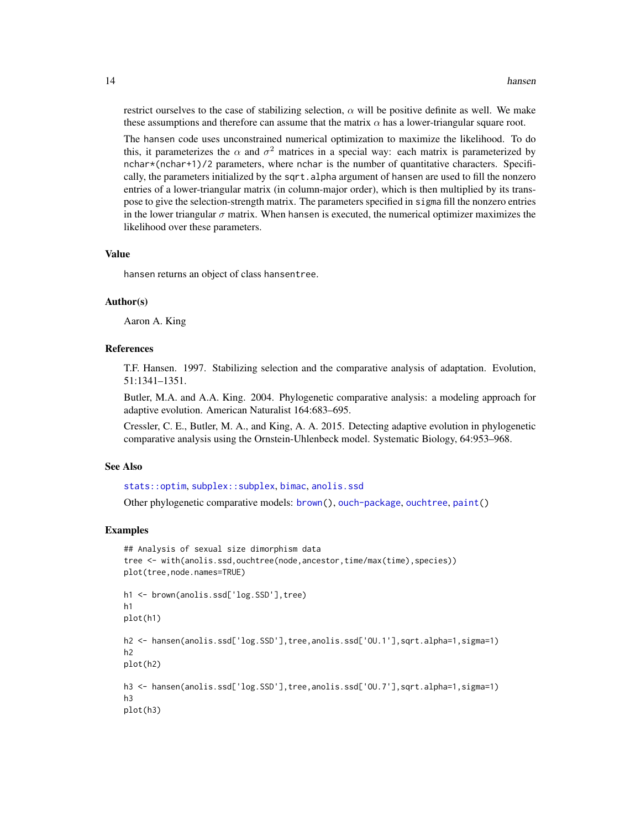restrict ourselves to the case of stabilizing selection,  $\alpha$  will be positive definite as well. We make these assumptions and therefore can assume that the matrix  $\alpha$  has a lower-triangular square root.

The hansen code uses unconstrained numerical optimization to maximize the likelihood. To do this, it parameterizes the  $\alpha$  and  $\sigma^2$  matrices in a special way: each matrix is parameterized by nchar\*(nchar+1)/2 parameters, where nchar is the number of quantitative characters. Specifically, the parameters initialized by the sqrt. alpha argument of hansen are used to fill the nonzero entries of a lower-triangular matrix (in column-major order), which is then multiplied by its transpose to give the selection-strength matrix. The parameters specified in sigma fill the nonzero entries in the lower triangular  $\sigma$  matrix. When hansen is executed, the numerical optimizer maximizes the likelihood over these parameters.

#### Value

hansen returns an object of class hansentree.

# Author(s)

Aaron A. King

# References

T.F. Hansen. 1997. Stabilizing selection and the comparative analysis of adaptation. Evolution, 51:1341–1351.

Butler, M.A. and A.A. King. 2004. Phylogenetic comparative analysis: a modeling approach for adaptive evolution. American Naturalist 164:683–695.

Cressler, C. E., Butler, M. A., and King, A. A. 2015. Detecting adaptive evolution in phylogenetic comparative analysis using the Ornstein-Uhlenbeck model. Systematic Biology, 64:953–968.

#### See Also

```
stats::optim, subplex::subplex, bimac, anolis.ssd
```
Other phylogenetic comparative models: [brown\(](#page-7-1)), [ouch-package](#page-1-1), [ouchtree](#page-15-1), [paint\(](#page-16-1))

```
## Analysis of sexual size dimorphism data
tree <- with(anolis.ssd,ouchtree(node,ancestor,time/max(time),species))
plot(tree,node.names=TRUE)
h1 <- brown(anolis.ssd['log.SSD'],tree)
h1
plot(h1)
h2 <- hansen(anolis.ssd['log.SSD'],tree,anolis.ssd['OU.1'],sqrt.alpha=1,sigma=1)
h2
plot(h2)
h3 <- hansen(anolis.ssd['log.SSD'],tree,anolis.ssd['OU.7'],sqrt.alpha=1,sigma=1)
h3
plot(h3)
```
<span id="page-13-0"></span>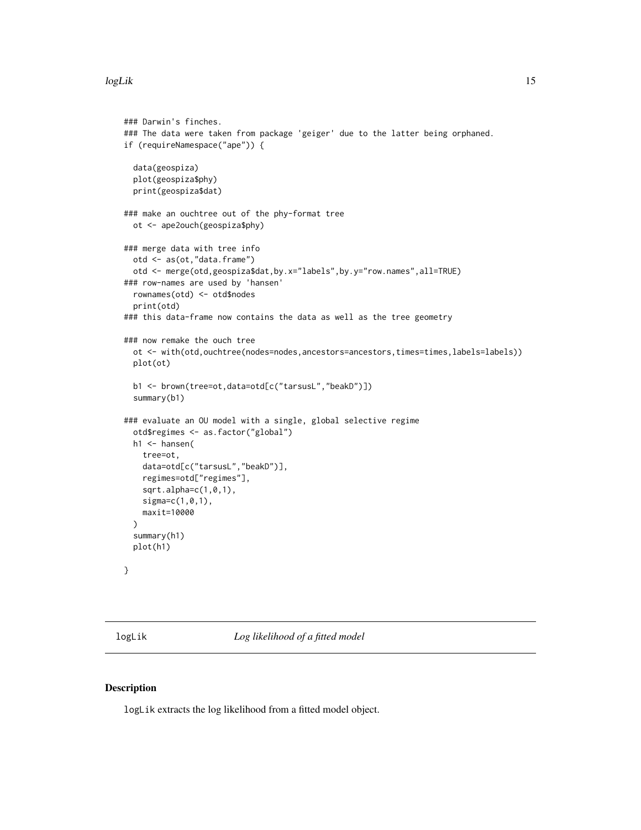#### <span id="page-14-0"></span>logLik to the contract of the contract of the contract of the contract of the contract of the contract of the contract of the contract of the contract of the contract of the contract of the contract of the contract of the

```
### Darwin's finches.
### The data were taken from package 'geiger' due to the latter being orphaned.
if (requireNamespace("ape")) {
 data(geospiza)
 plot(geospiza$phy)
 print(geospiza$dat)
### make an ouchtree out of the phy-format tree
 ot <- ape2ouch(geospiza$phy)
### merge data with tree info
 otd <- as(ot,"data.frame")
 otd <- merge(otd,geospiza$dat,by.x="labels",by.y="row.names",all=TRUE)
### row-names are used by 'hansen'
 rownames(otd) <- otd$nodes
 print(otd)
### this data-frame now contains the data as well as the tree geometry
### now remake the ouch tree
 ot <- with(otd,ouchtree(nodes=nodes,ancestors=ancestors,times=times,labels=labels))
 plot(ot)
 b1 <- brown(tree=ot,data=otd[c("tarsusL","beakD")])
 summary(b1)
### evaluate an OU model with a single, global selective regime
 otd$regimes <- as.factor("global")
 h1 <- hansen(
   tree=ot,
   data=otd[c("tarsusL","beakD")],
   regimes=otd["regimes"],
    sqrt.alpha=c(1,0,1),
   sigma=c(1,0,1),
   maxit=10000
 \lambdasummary(h1)
 plot(h1)
}
```
<span id="page-14-1"></span>logLik *Log likelihood of a fitted model*

#### Description

logLik extracts the log likelihood from a fitted model object.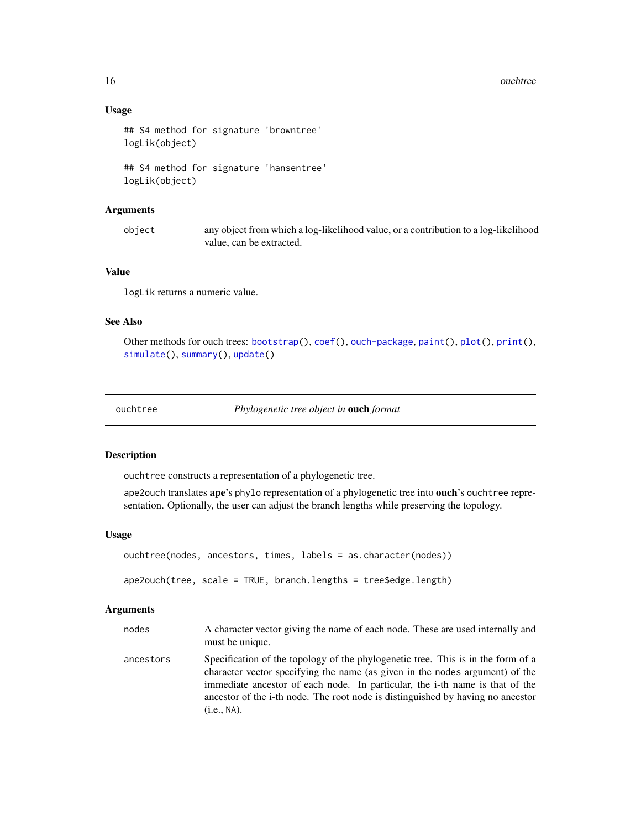# Usage

```
## S4 method for signature 'browntree'
logLik(object)
```

```
## S4 method for signature 'hansentree'
logLik(object)
```
#### Arguments

object any object from which a log-likelihood value, or a contribution to a log-likelihood value, can be extracted.

# Value

logLik returns a numeric value.

# See Also

```
Other methods for ouch trees: bootstrap(), coef(), ouch-package, paint(), plot(), print(),
simulate(), summary(), update()
```
<span id="page-15-1"></span>

ouchtree *Phylogenetic tree object in* ouch *format*

# <span id="page-15-2"></span>Description

ouchtree constructs a representation of a phylogenetic tree.

ape2ouch translates ape's phylo representation of a phylogenetic tree into ouch's ouchtree representation. Optionally, the user can adjust the branch lengths while preserving the topology.

# Usage

```
ouchtree(nodes, ancestors, times, labels = as.character(nodes))
ape2ouch(tree, scale = TRUE, branch.lengths = tree$edge.length)
```
# Arguments

| nodes     | A character vector giving the name of each node. These are used internally and<br>must be unique.                                                                                                                                                                                                                                                  |
|-----------|----------------------------------------------------------------------------------------------------------------------------------------------------------------------------------------------------------------------------------------------------------------------------------------------------------------------------------------------------|
| ancestors | Specification of the topology of the phylogenetic tree. This is in the form of a<br>character vector specifying the name (as given in the nodes argument) of the<br>immediate ancestor of each node. In particular, the i-th name is that of the<br>ancestor of the i-th node. The root node is distinguished by having no ancestor<br>(i.e., NA). |

<span id="page-15-0"></span>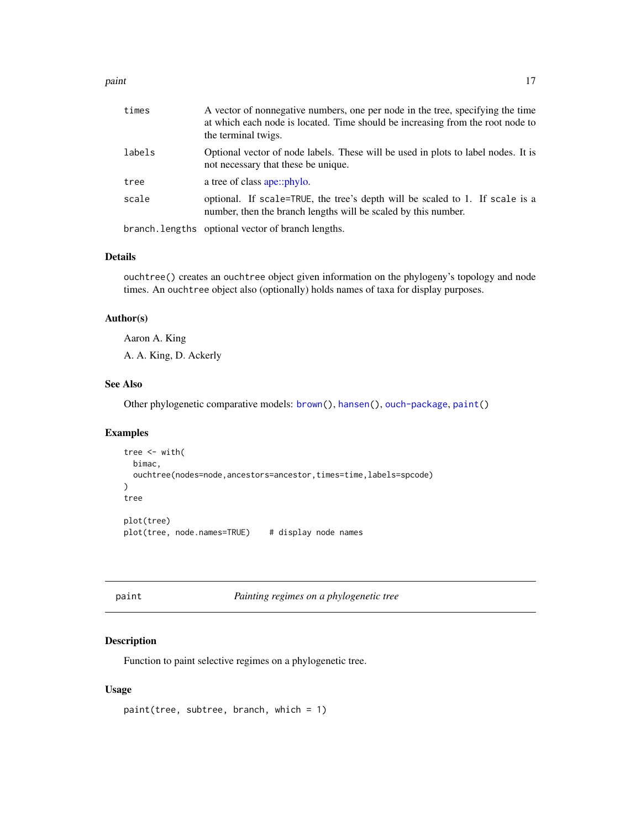#### <span id="page-16-0"></span>paint the contract of the contract of the contract of the contract of the contract of the contract of the contract of the contract of the contract of the contract of the contract of the contract of the contract of the cont

| times  | A vector of nonnegative numbers, one per node in the tree, specifying the time<br>at which each node is located. Time should be increasing from the root node to<br>the terminal twigs. |
|--------|-----------------------------------------------------------------------------------------------------------------------------------------------------------------------------------------|
| labels | Optional vector of node labels. These will be used in plots to label nodes. It is<br>not necessary that these be unique.                                                                |
| tree   | a tree of class ape::phylo.                                                                                                                                                             |
| scale  | optional. If scale=TRUE, the tree's depth will be scaled to 1. If scale is a<br>number, then the branch lengths will be scaled by this number.                                          |
|        | branch. lengths optional vector of branch lengths.                                                                                                                                      |

#### Details

ouchtree() creates an ouchtree object given information on the phylogeny's topology and node times. An ouchtree object also (optionally) holds names of taxa for display purposes.

# Author(s)

Aaron A. King

A. A. King, D. Ackerly

# See Also

Other phylogenetic comparative models: [brown\(](#page-7-1)), [hansen\(](#page-11-1)), [ouch-package](#page-1-1), [paint\(](#page-16-1))

# Examples

```
tree <- with(
  bimac,
  ouchtree(nodes=node,ancestors=ancestor,times=time,labels=spcode)
)
tree
plot(tree)
plot(tree, node.names=TRUE) # display node names
```
<span id="page-16-1"></span>

paint *Painting regimes on a phylogenetic tree*

# Description

Function to paint selective regimes on a phylogenetic tree.

# Usage

paint(tree, subtree, branch, which = 1)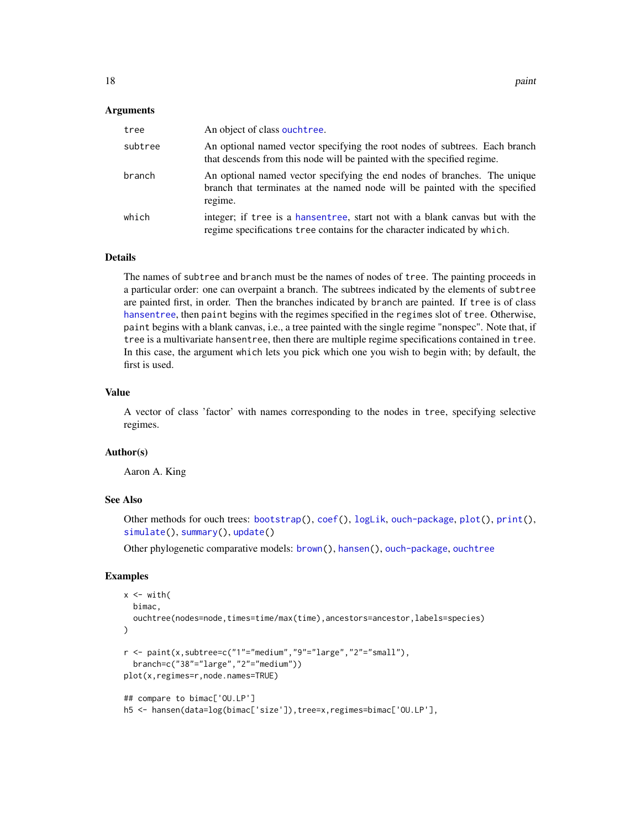#### <span id="page-17-0"></span>Arguments

| tree    | An object of class ouchtree.                                                                                                                                        |
|---------|---------------------------------------------------------------------------------------------------------------------------------------------------------------------|
| subtree | An optional named vector specifying the root nodes of subtrees. Each branch<br>that descends from this node will be painted with the specified regime.              |
| branch  | An optional named vector specifying the end nodes of branches. The unique<br>branch that terminates at the named node will be painted with the specified<br>regime. |
| which   | integer; if tree is a hansentree, start not with a blank canvas but with the<br>regime specifications tree contains for the character indicated by which.           |

#### Details

The names of subtree and branch must be the names of nodes of tree. The painting proceeds in a particular order: one can overpaint a branch. The subtrees indicated by the elements of subtree are painted first, in order. Then the branches indicated by branch are painted. If tree is of class [hansentree](#page-11-1), then paint begins with the regimes specified in the regimes slot of tree. Otherwise, paint begins with a blank canvas, i.e., a tree painted with the single regime "nonspec". Note that, if tree is a multivariate hansentree, then there are multiple regime specifications contained in tree. In this case, the argument which lets you pick which one you wish to begin with; by default, the first is used.

#### Value

A vector of class 'factor' with names corresponding to the nodes in tree, specifying selective regimes.

#### Author(s)

Aaron A. King

### See Also

Other methods for ouch trees: [bootstrap\(](#page-6-1)), [coef\(](#page-9-1)), [logLik](#page-14-1), [ouch-package](#page-1-1), [plot\(](#page-18-1)), [print\(](#page-0-0)), [simulate\(](#page-19-1)), [summary\(](#page-20-1)), [update\(](#page-21-1))

Other phylogenetic comparative models: [brown\(](#page-7-1)), [hansen\(](#page-11-1)), [ouch-package](#page-1-1), [ouchtree](#page-15-1)

```
x < - with(
 bimac,
 ouchtree(nodes=node,times=time/max(time),ancestors=ancestor,labels=species)
)
r <- paint(x,subtree=c("1"="medium","9"="large","2"="small"),
 branch=c("38"="large","2"="medium"))
plot(x,regimes=r,node.names=TRUE)
## compare to bimac['OU.LP']
h5 <- hansen(data=log(bimac['size']),tree=x,regimes=bimac['OU.LP'],
```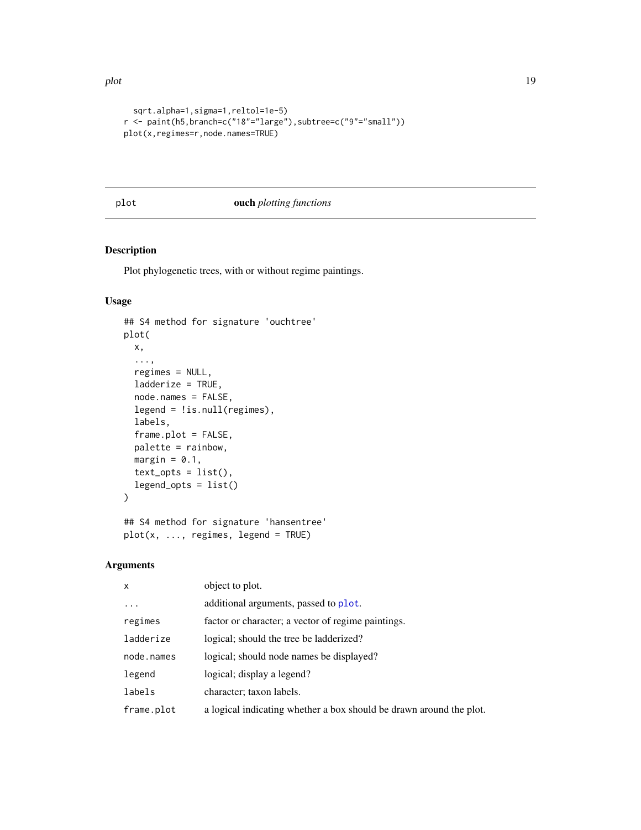```
sqrt.alpha=1,sigma=1,reltol=1e-5)
r <- paint(h5,branch=c("18"="large"),subtree=c("9"="small"))
plot(x,regimes=r,node.names=TRUE)
```
### <span id="page-18-1"></span>plot ouch *plotting functions*

# Description

Plot phylogenetic trees, with or without regime paintings.

# Usage

```
## S4 method for signature 'ouchtree'
plot(
 x,
  ...,
 regimes = NULL,
  ladderize = TRUE,
  node.names = FALSE,
  legend = !is.null(regimes),
  labels,
  frame.plot = FALSE,
 palette = rainbow,
 margin = 0.1,
  text\_opts = list(),
  legend_opts = list()
\lambda## S4 method for signature 'hansentree'
```

```
plot(x, ..., regimes, legend = TRUE)
```
# Arguments

| object to plot.                                                     |
|---------------------------------------------------------------------|
| additional arguments, passed to plot.                               |
| factor or character; a vector of regime paintings.                  |
| logical; should the tree be ladderized?                             |
| logical; should node names be displayed?                            |
| logical; display a legend?                                          |
| character; taxon labels.                                            |
| a logical indicating whether a box should be drawn around the plot. |
|                                                                     |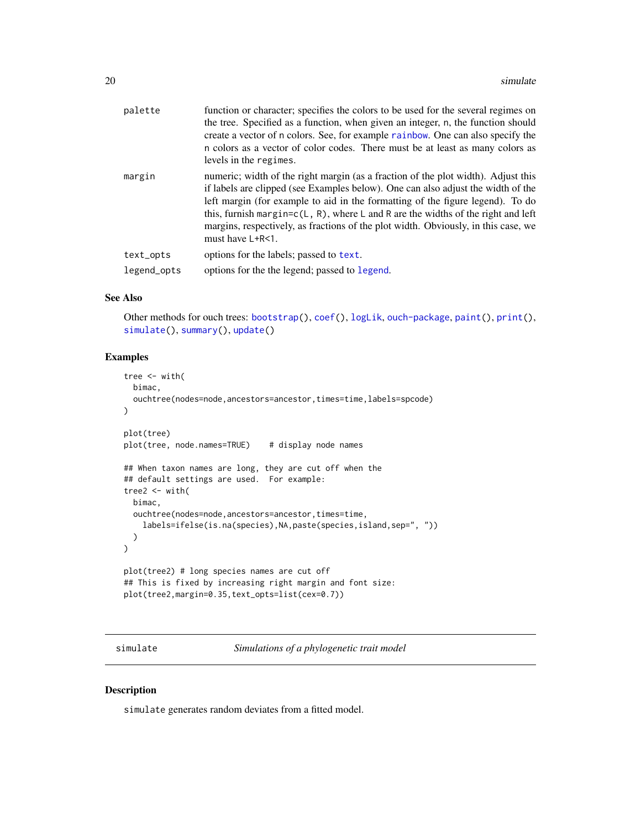<span id="page-19-0"></span>

| palette     | function or character; specifies the colors to be used for the several regimes on<br>the tree. Specified as a function, when given an integer, n, the function should<br>create a vector of n colors. See, for example rainbow. One can also specify the<br>n colors as a vector of color codes. There must be at least as many colors as<br>levels in the regimes.                                                                                      |
|-------------|----------------------------------------------------------------------------------------------------------------------------------------------------------------------------------------------------------------------------------------------------------------------------------------------------------------------------------------------------------------------------------------------------------------------------------------------------------|
| margin      | numeric; width of the right margin (as a fraction of the plot width). Adjust this<br>if labels are clipped (see Examples below). One can also adjust the width of the<br>left margin (for example to aid in the formatting of the figure legend). To do<br>this, furnish margin=c(L, R), where L and R are the widths of the right and left<br>margins, respectively, as fractions of the plot width. Obviously, in this case, we<br>must have $L+R<1$ . |
| text_opts   | options for the labels; passed to text.                                                                                                                                                                                                                                                                                                                                                                                                                  |
| legend_opts | options for the the legend; passed to legend.                                                                                                                                                                                                                                                                                                                                                                                                            |
|             |                                                                                                                                                                                                                                                                                                                                                                                                                                                          |

# See Also

Other methods for ouch trees: [bootstrap\(](#page-6-1)), [coef\(](#page-9-1)), [logLik](#page-14-1), [ouch-package](#page-1-1), [paint\(](#page-16-1)), [print\(](#page-0-0)), [simulate\(](#page-19-1)), [summary\(](#page-20-1)), [update\(](#page-21-1))

# Examples

```
tree \leq with(
  bimac,
  ouchtree(nodes=node,ancestors=ancestor,times=time,labels=spcode)
\mathcal{L}plot(tree)
plot(tree, node.names=TRUE) # display node names
## When taxon names are long, they are cut off when the
## default settings are used. For example:
tree2 <- with(
  bimac,
  ouchtree(nodes=node,ancestors=ancestor,times=time,
    labels=ifelse(is.na(species),NA,paste(species,island,sep=", "))
  )
\lambdaplot(tree2) # long species names are cut off
## This is fixed by increasing right margin and font size:
plot(tree2,margin=0.35,text_opts=list(cex=0.7))
```
<span id="page-19-1"></span>simulate *Simulations of a phylogenetic trait model*

#### Description

simulate generates random deviates from a fitted model.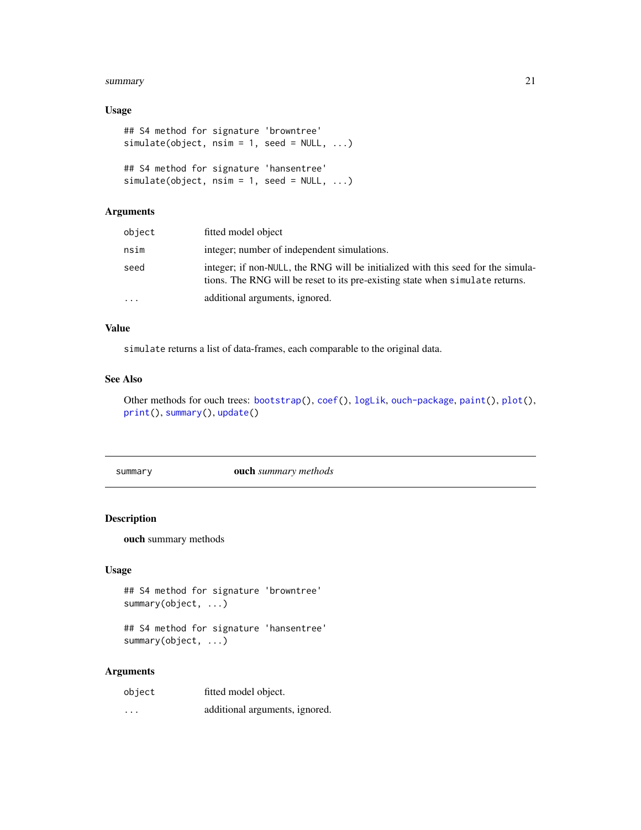#### <span id="page-20-0"></span>summary 21 and 22 and 22 and 22 and 22 and 22 and 22 and 22 and 22 and 22 and 22 and 22 and 22 and 22 and 22 and 22 and 22 and 22 and 22 and 22 and 22 and 22 and 22 and 22 and 22 and 22 and 22 and 22 and 22 and 22 and 22 a

# Usage

```
## S4 method for signature 'browntree'
simulate(object, nsim = 1, seed = NULL, ...)
## S4 method for signature 'hansentree'
simulate(object, nsim = 1, seed = NULL, ...)
```
# Arguments

| object    | fitted model object                                                                                                                                               |
|-----------|-------------------------------------------------------------------------------------------------------------------------------------------------------------------|
| nsim      | integer; number of independent simulations.                                                                                                                       |
| seed      | integer; if non-NULL, the RNG will be initialized with this seed for the simula-<br>tions. The RNG will be reset to its pre-existing state when simulate returns. |
| $\ddotsc$ | additional arguments, ignored.                                                                                                                                    |

# Value

simulate returns a list of data-frames, each comparable to the original data.

# See Also

Other methods for ouch trees: [bootstrap\(](#page-6-1)), [coef\(](#page-9-1)), [logLik](#page-14-1), [ouch-package](#page-1-1), [paint\(](#page-16-1)), [plot\(](#page-18-1)), [print\(](#page-0-0)), [summary\(](#page-20-1)), [update\(](#page-21-1))

<span id="page-20-1"></span>summary ouch *summary methods*

# Description

ouch summary methods

# Usage

```
## S4 method for signature 'browntree'
summary(object, ...)
```
## S4 method for signature 'hansentree' summary(object, ...)

# Arguments

| object   | fitted model object.           |
|----------|--------------------------------|
| $\cdots$ | additional arguments, ignored. |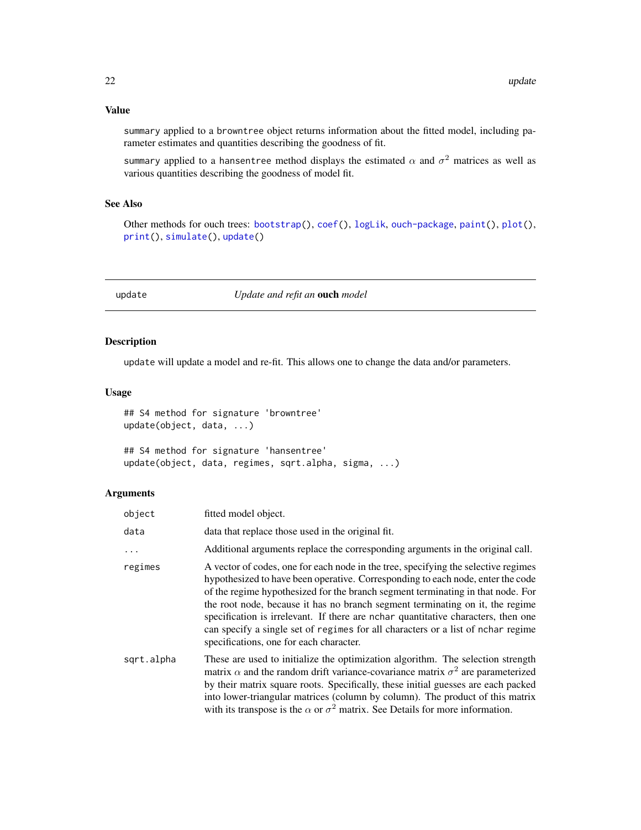<span id="page-21-0"></span>summary applied to a browntree object returns information about the fitted model, including parameter estimates and quantities describing the goodness of fit.

summary applied to a hansentree method displays the estimated  $\alpha$  and  $\sigma^2$  matrices as well as various quantities describing the goodness of model fit.

# See Also

Other methods for ouch trees: [bootstrap\(](#page-6-1)), [coef\(](#page-9-1)), [logLik](#page-14-1), [ouch-package](#page-1-1), [paint\(](#page-16-1)), [plot\(](#page-18-1)), [print\(](#page-0-0)), [simulate\(](#page-19-1)), [update\(](#page-21-1))

<span id="page-21-1"></span>update *Update and refit an* ouch *model*

# Description

update will update a model and re-fit. This allows one to change the data and/or parameters.

#### Usage

## S4 method for signature 'browntree' update(object, data, ...)

## S4 method for signature 'hansentree' update(object, data, regimes, sqrt.alpha, sigma, ...)

# Arguments

| object     | fitted model object.                                                                                                                                                                                                                                                                                                                                                                                                                                                                                                                                          |
|------------|---------------------------------------------------------------------------------------------------------------------------------------------------------------------------------------------------------------------------------------------------------------------------------------------------------------------------------------------------------------------------------------------------------------------------------------------------------------------------------------------------------------------------------------------------------------|
| data       | data that replace those used in the original fit.                                                                                                                                                                                                                                                                                                                                                                                                                                                                                                             |
| .          | Additional arguments replace the corresponding arguments in the original call.                                                                                                                                                                                                                                                                                                                                                                                                                                                                                |
| regimes    | A vector of codes, one for each node in the tree, specifying the selective regimes<br>hypothesized to have been operative. Corresponding to each node, enter the code<br>of the regime hypothesized for the branch segment terminating in that node. For<br>the root node, because it has no branch segment terminating on it, the regime<br>specification is irrelevant. If there are nchar quantitative characters, then one<br>can specify a single set of regimes for all characters or a list of nchar regime<br>specifications, one for each character. |
| sqrt.alpha | These are used to initialize the optimization algorithm. The selection strength<br>matrix $\alpha$ and the random drift variance-covariance matrix $\sigma^2$ are parameterized<br>by their matrix square roots. Specifically, these initial guesses are each packed<br>into lower-triangular matrices (column by column). The product of this matrix<br>with its transpose is the $\alpha$ or $\sigma^2$ matrix. See Details for more information.                                                                                                           |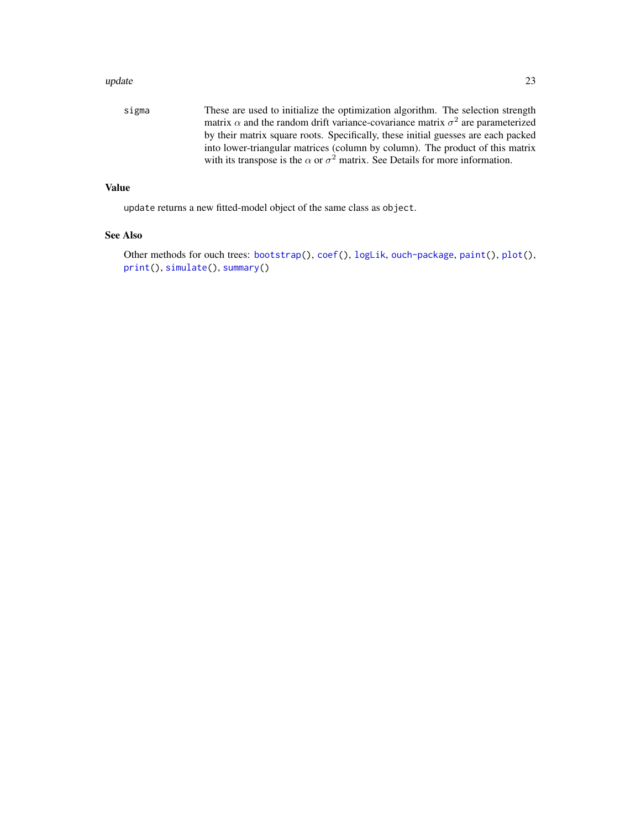#### <span id="page-22-0"></span>update 23

sigma These are used to initialize the optimization algorithm. The selection strength matrix  $\alpha$  and the random drift variance-covariance matrix  $\sigma^2$  are parameterized by their matrix square roots. Specifically, these initial guesses are each packed into lower-triangular matrices (column by column). The product of this matrix with its transpose is the  $\alpha$  or  $\sigma^2$  matrix. See Details for more information.

# Value

update returns a new fitted-model object of the same class as object.

# See Also

Other methods for ouch trees: [bootstrap\(](#page-6-1)), [coef\(](#page-9-1)), [logLik](#page-14-1), [ouch-package](#page-1-1), [paint\(](#page-16-1)), [plot\(](#page-18-1)), [print\(](#page-0-0)), [simulate\(](#page-19-1)), [summary\(](#page-20-1))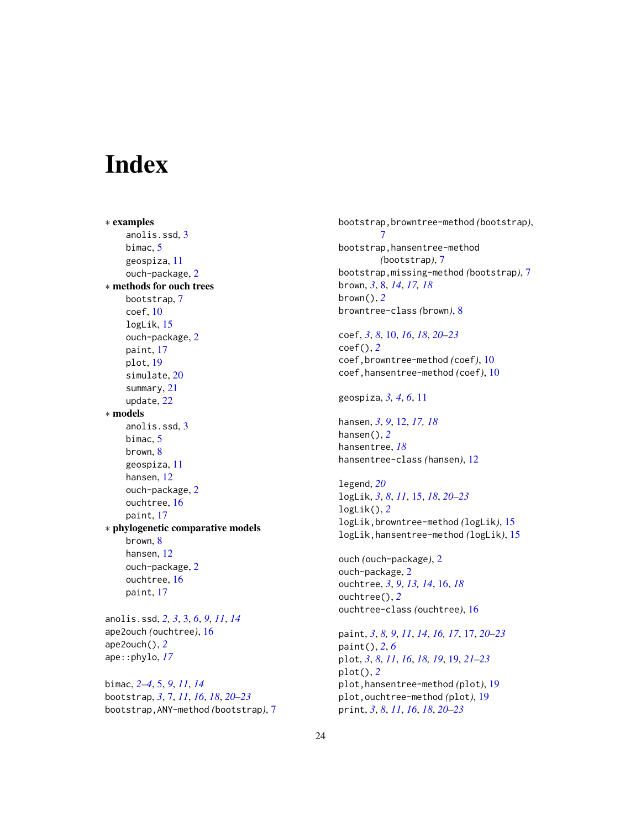# <span id="page-23-0"></span>Index

∗ examples anolis.ssd, [3](#page-2-0) bimac, [5](#page-4-0) geospiza, [11](#page-10-0) ouch-package, [2](#page-1-0) ∗ methods for ouch trees bootstrap, [7](#page-6-0) coef, [10](#page-9-0) logLik, [15](#page-14-0) ouch-package, [2](#page-1-0) paint, [17](#page-16-0) plot, [19](#page-18-0) simulate, [20](#page-19-0) summary, [21](#page-20-0) update, [22](#page-21-0) ∗ models anolis.ssd, [3](#page-2-0) bimac, [5](#page-4-0) brown, [8](#page-7-0) geospiza, [11](#page-10-0) hansen, [12](#page-11-0) ouch-package, [2](#page-1-0) ouchtree, [16](#page-15-0) paint, [17](#page-16-0) ∗ phylogenetic comparative models brown, [8](#page-7-0) hansen, [12](#page-11-0) ouch-package, [2](#page-1-0) ouchtree, [16](#page-15-0) paint, [17](#page-16-0)

anolis.ssd, *[2,](#page-1-0) [3](#page-2-0)*, [3,](#page-2-0) *[6](#page-5-0)*, *[9](#page-8-0)*, *[11](#page-10-0)*, *[14](#page-13-0)* ape2ouch *(*ouchtree*)*, [16](#page-15-0) ape2ouch(), *[2](#page-1-0)* ape::phylo, *[17](#page-16-0)*

bimac, *[2](#page-1-0)[–4](#page-3-0)*, [5,](#page-4-0) *[9](#page-8-0)*, *[11](#page-10-0)*, *[14](#page-13-0)* bootstrap, *[3](#page-2-0)*, [7,](#page-6-0) *[11](#page-10-0)*, *[16](#page-15-0)*, *[18](#page-17-0)*, *[20–](#page-19-0)[23](#page-22-0)* bootstrap,ANY-method *(*bootstrap*)*, [7](#page-6-0) bootstrap,browntree-method *(*bootstrap*)*, [7](#page-6-0) bootstrap,hansentree-method *(*bootstrap*)*, [7](#page-6-0) bootstrap,missing-method *(*bootstrap*)*, [7](#page-6-0) brown, *[3](#page-2-0)*, [8,](#page-7-0) *[14](#page-13-0)*, *[17,](#page-16-0) [18](#page-17-0)* brown(), *[2](#page-1-0)* browntree-class *(*brown*)*, [8](#page-7-0)

coef, *[3](#page-2-0)*, *[8](#page-7-0)*, [10,](#page-9-0) *[16](#page-15-0)*, *[18](#page-17-0)*, *[20](#page-19-0)[–23](#page-22-0)* coef(), *[2](#page-1-0)* coef,browntree-method *(*coef*)*, [10](#page-9-0) coef,hansentree-method *(*coef*)*, [10](#page-9-0)

geospiza, *[3,](#page-2-0) [4](#page-3-0)*, *[6](#page-5-0)*, [11](#page-10-0)

hansen, *[3](#page-2-0)*, *[9](#page-8-0)*, [12,](#page-11-0) *[17,](#page-16-0) [18](#page-17-0)* hansen(), *[2](#page-1-0)* hansentree, *[18](#page-17-0)* hansentree-class *(*hansen*)*, [12](#page-11-0)

legend, *[20](#page-19-0)* logLik, *[3](#page-2-0)*, *[8](#page-7-0)*, *[11](#page-10-0)*, [15,](#page-14-0) *[18](#page-17-0)*, *[20](#page-19-0)[–23](#page-22-0)* logLik(), *[2](#page-1-0)* logLik,browntree-method *(*logLik*)*, [15](#page-14-0) logLik,hansentree-method *(*logLik*)*, [15](#page-14-0)

ouch *(*ouch-package*)*, [2](#page-1-0) ouch-package, [2](#page-1-0) ouchtree, *[3](#page-2-0)*, *[9](#page-8-0)*, *[13,](#page-12-0) [14](#page-13-0)*, [16,](#page-15-0) *[18](#page-17-0)* ouchtree(), *[2](#page-1-0)* ouchtree-class *(*ouchtree*)*, [16](#page-15-0)

paint, *[3](#page-2-0)*, *[8,](#page-7-0) [9](#page-8-0)*, *[11](#page-10-0)*, *[14](#page-13-0)*, *[16,](#page-15-0) [17](#page-16-0)*, [17,](#page-16-0) *[20](#page-19-0)[–23](#page-22-0)* paint(), *[2](#page-1-0)*, *[6](#page-5-0)* plot, *[3](#page-2-0)*, *[8](#page-7-0)*, *[11](#page-10-0)*, *[16](#page-15-0)*, *[18,](#page-17-0) [19](#page-18-0)*, [19,](#page-18-0) *[21](#page-20-0)[–23](#page-22-0)* plot(), *[2](#page-1-0)* plot,hansentree-method *(*plot*)*, [19](#page-18-0) plot,ouchtree-method *(*plot*)*, [19](#page-18-0) print, *[3](#page-2-0)*, *[8](#page-7-0)*, *[11](#page-10-0)*, *[16](#page-15-0)*, *[18](#page-17-0)*, *[20](#page-19-0)[–23](#page-22-0)*